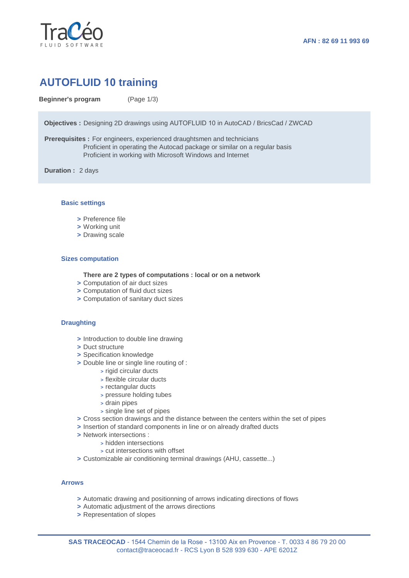

# **AUTOFLUID 10 training**

**Beginner's program** (Page 1/3)

**Objectives :** Designing 2D drawings using AUTOFLUID 10 in AutoCAD / BricsCad / ZWCAD

**Prerequisites :** For engineers, experienced draughtsmen and technicians Proficient in operating the Autocad package or similar on a regular basis Proficient in working with Microsoft Windows and Internet

**Duration :** 2 days

### **Basic settings**

- **>** Preference file
- **>** Working unit
- **>** Drawing scale

#### **Sizes computation**

**There are 2 types of computations : local or on a network**

- **>** Computation of air duct sizes
- **>** Computation of fluid duct sizes
- **>** Computation of sanitary duct sizes

## **Draughting**

- **>** Introduction to double line drawing
- **>** Duct structure
- **>** Specification knowledge
- **>** Double line or single line routing of :
	- **>** rigid circular ducts
	- **>** flexible circular ducts
	- **>** rectangular ducts
	- **>** pressure holding tubes
	- **>** drain pipes
	- **>** single line set of pipes
- **>** Cross section drawings and the distance between the centers within the set of pipes
- **>** Insertion of standard components in line or on already drafted ducts
- **>** Network intersections :
	- **>** hidden intersections
	- **>** cut intersections with offset
- **>** Customizable air conditioning terminal drawings (AHU, cassette...)

# **Arrows**

- **>** Automatic drawing and positionning of arrows indicating directions of flows
- **>** Automatic adjustment of the arrows directions
- **>** Representation of slopes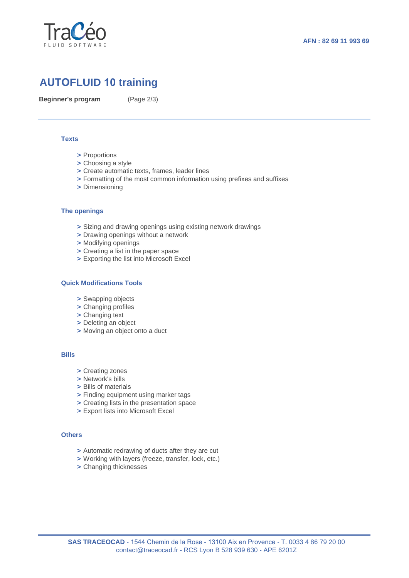

# **AUTOFLUID 10 training**

**Beginner's program** (Page 2/3)

#### **Texts**

- **>** Proportions
- **>** Choosing a style
- **>** Create automatic texts, frames, leader lines
- **>** Formatting of the most common information using prefixes and suffixes
- **>** Dimensioning

#### **The openings**

- **>** Sizing and drawing openings using existing network drawings
- **>** Drawing openings without a network
- **>** Modifying openings
- **>** Creating a list in the paper space
- **>** Exporting the list into Microsoft Excel

#### **Quick Modifications Tools**

- **>** Swapping objects
- **>** Changing profiles
- **>** Changing text
- **>** Deleting an object
- **>** Moving an object onto a duct

#### **Bills**

- **>** Creating zones
- **>** Network's bills
- **>** Bills of materials
- **>** Finding equipment using marker tags
- **>** Creating lists in the presentation space
- **>** Export lists into Microsoft Excel

## **Others**

- **>** Automatic redrawing of ducts after they are cut
- **>** Working with layers (freeze, transfer, lock, etc.)
- **>** Changing thicknesses